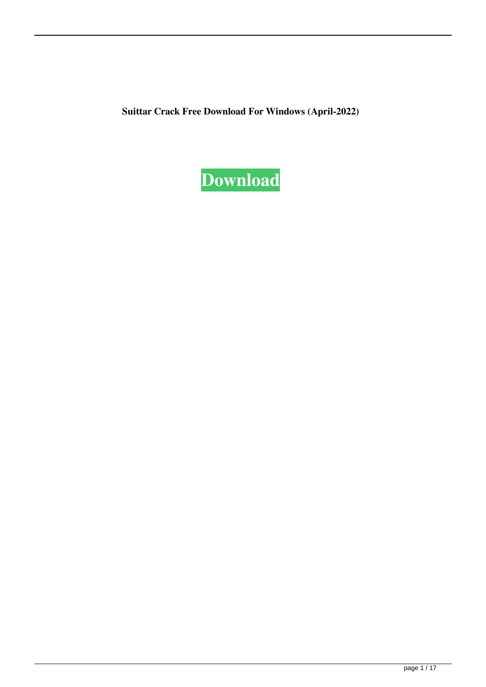**Suittar Crack Free Download For Windows (April-2022)**

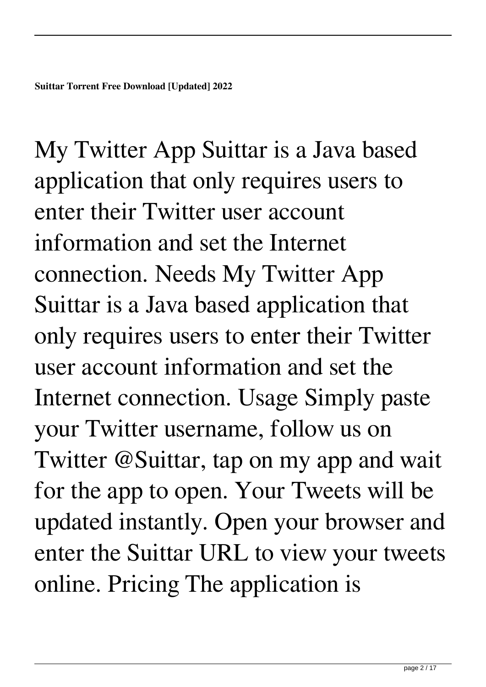My Twitter App Suittar is a Java based application that only requires users to enter their Twitter user account information and set the Internet connection. Needs My Twitter App Suittar is a Java based application that only requires users to enter their Twitter user account information and set the Internet connection. Usage Simply paste your Twitter username, follow us on Twitter @Suittar, tap on my app and wait for the app to open. Your Tweets will be updated instantly. Open your browser and enter the Suittar URL to view your tweets online. Pricing The application is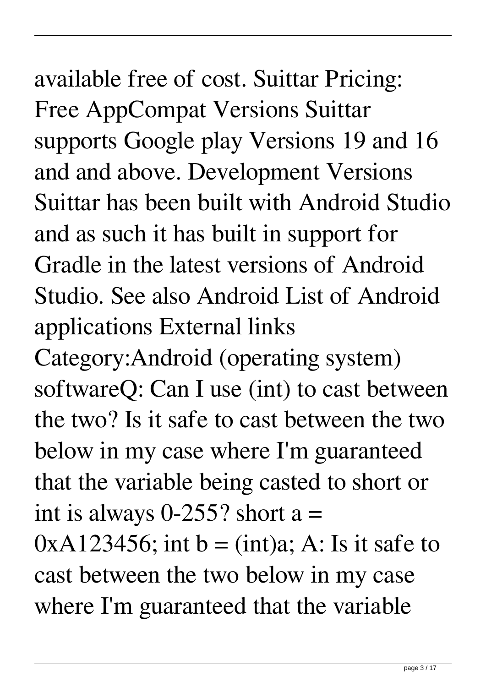#### available free of cost. Suittar Pricing: Free AppCompat Versions Suittar supports Google play Versions 19 and 16 and and above. Development Versions Suittar has been built with Android Studio and as such it has built in support for Gradle in the latest versions of Android Studio. See also Android List of Android

applications External links

Category:Android (operating system) softwareQ: Can I use (int) to cast between the two? Is it safe to cast between the two below in my case where I'm guaranteed that the variable being casted to short or int is always  $0-255$ ? short a =

 $0xA123456$ ; int b = (int)a; A: Is it safe to cast between the two below in my case where I'm guaranteed that the variable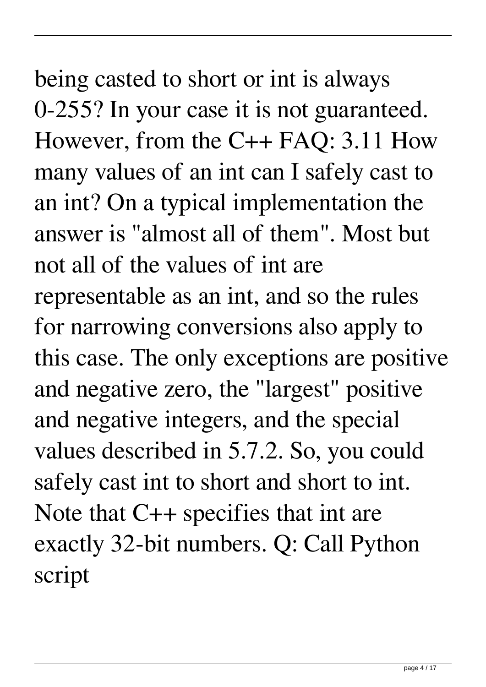being casted to short or int is always 0-255? In your case it is not guaranteed. However, from the C++ FAQ: 3.11 How many values of an int can I safely cast to an int? On a typical implementation the answer is "almost all of them". Most but not all of the values of int are representable as an int, and so the rules for narrowing conversions also apply to this case. The only exceptions are positive and negative zero, the "largest" positive and negative integers, and the special values described in 5.7.2. So, you could safely cast int to short and short to int. Note that C++ specifies that int are exactly 32-bit numbers. Q: Call Python script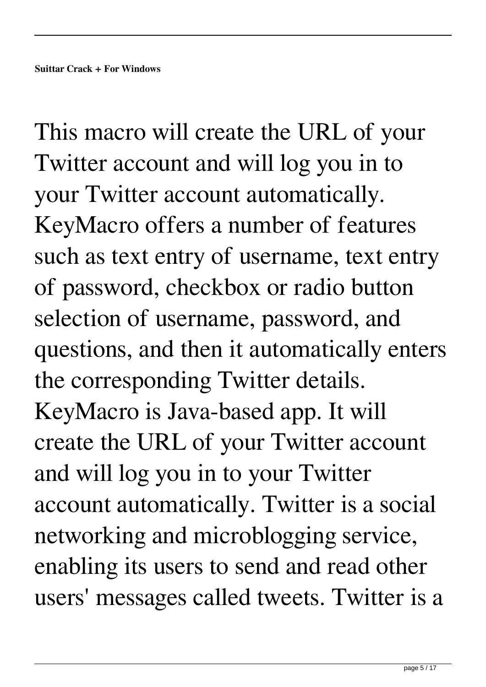This macro will create the URL of your Twitter account and will log you in to your Twitter account automatically. KeyMacro offers a number of features such as text entry of username, text entry of password, checkbox or radio button selection of username, password, and questions, and then it automatically enters the corresponding Twitter details. KeyMacro is Java-based app. It will create the URL of your Twitter account and will log you in to your Twitter account automatically. Twitter is a social networking and microblogging service, enabling its users to send and read other users' messages called tweets. Twitter is a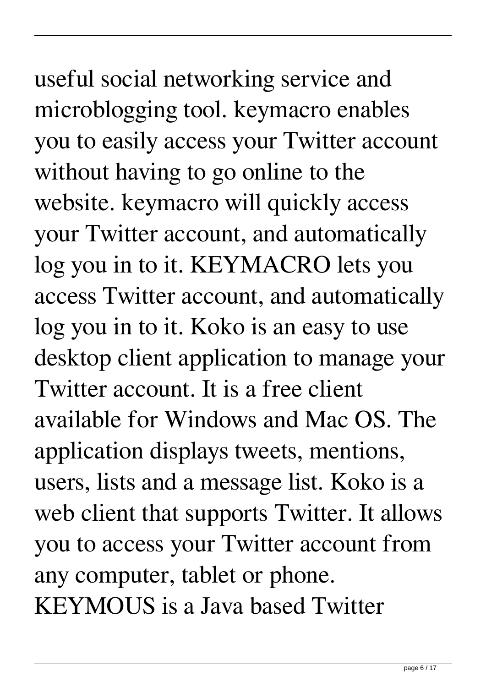# useful social networking service and microblogging tool. keymacro enables

you to easily access your Twitter account without having to go online to the website. keymacro will quickly access your Twitter account, and automatically log you in to it. KEYMACRO lets you access Twitter account, and automatically log you in to it. Koko is an easy to use desktop client application to manage your Twitter account. It is a free client available for Windows and Mac OS. The application displays tweets, mentions, users, lists and a message list. Koko is a web client that supports Twitter. It allows you to access your Twitter account from any computer, tablet or phone. KEYMOUS is a Java based Twitter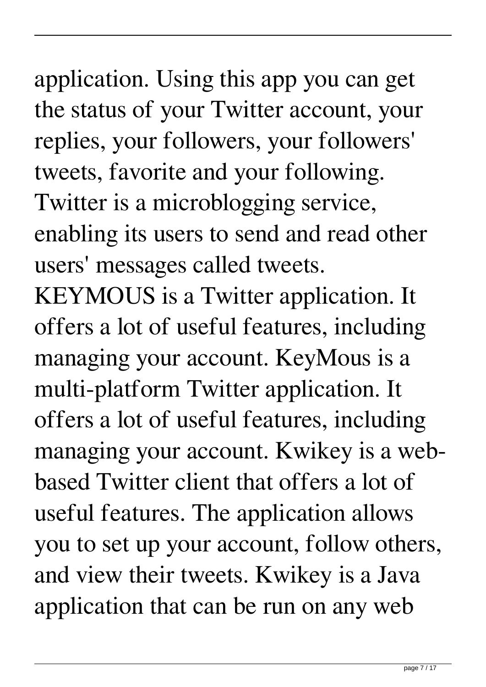### application. Using this app you can get the status of your Twitter account, your replies, your followers, your followers' tweets, favorite and your following.

Twitter is a microblogging service, enabling its users to send and read other users' messages called tweets.

KEYMOUS is a Twitter application. It offers a lot of useful features, including managing your account. KeyMous is a multi-platform Twitter application. It offers a lot of useful features, including managing your account. Kwikey is a webbased Twitter client that offers a lot of useful features. The application allows you to set up your account, follow others, and view their tweets. Kwikey is a Java application that can be run on any web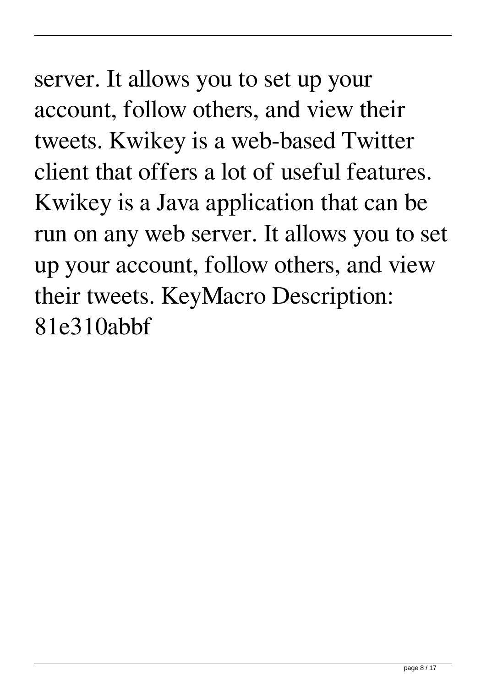server. It allows you to set up your account, follow others, and view their tweets. Kwikey is a web-based Twitter client that offers a lot of useful features. Kwikey is a Java application that can be run on any web server. It allows you to set up your account, follow others, and view their tweets. KeyMacro Description: 81e310abbf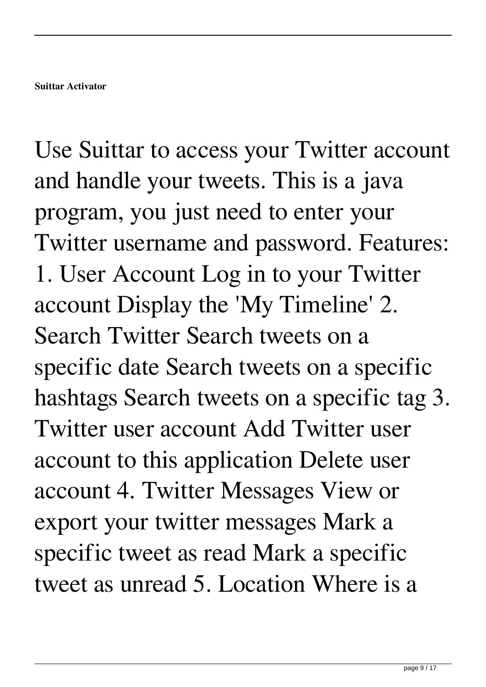Use Suittar to access your Twitter account and handle your tweets. This is a java program, you just need to enter your Twitter username and password. Features: 1. User Account Log in to your Twitter account Display the 'My Timeline' 2. Search Twitter Search tweets on a specific date Search tweets on a specific hashtags Search tweets on a specific tag 3. Twitter user account Add Twitter user account to this application Delete user account 4. Twitter Messages View or export your twitter messages Mark a specific tweet as read Mark a specific tweet as unread 5. Location Where is a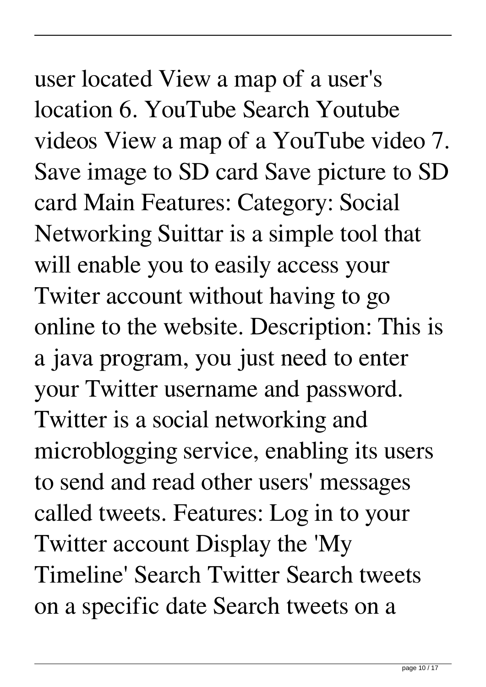#### user located View a map of a user's location 6. YouTube Search Youtube videos View a map of a YouTube video 7. Save image to SD card Save picture to SD card Main Features: Category: Social Networking Suittar is a simple tool that will enable you to easily access your Twiter account without having to go online to the website. Description: This is a java program, you just need to enter your Twitter username and password. Twitter is a social networking and microblogging service, enabling its users to send and read other users' messages called tweets. Features: Log in to your Twitter account Display the 'My Timeline' Search Twitter Search tweets

on a specific date Search tweets on a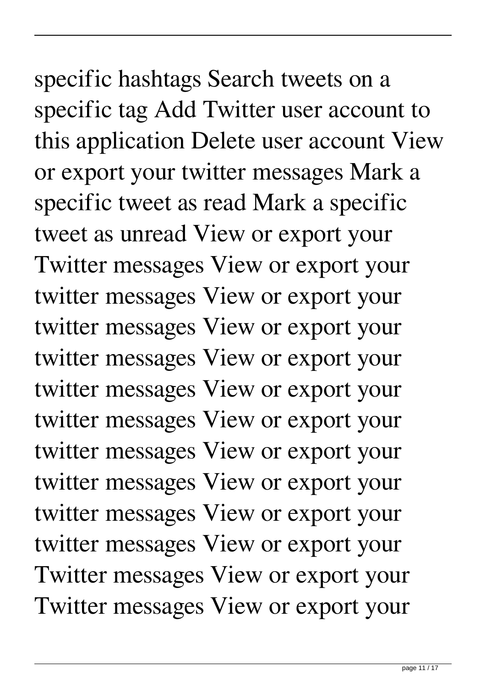#### specific hashtags Search tweets on a specific tag Add Twitter user account to this application Delete user account View or export your twitter messages Mark a specific tweet as read Mark a specific tweet as unread View or export your Twitter messages View or export your twitter messages View or export your twitter messages View or export your twitter messages View or export your twitter messages View or export your

twitter messages View or export your twitter messages View or export your twitter messages View or export your twitter messages View or export your twitter messages View or export your Twitter messages View or export your Twitter messages View or export your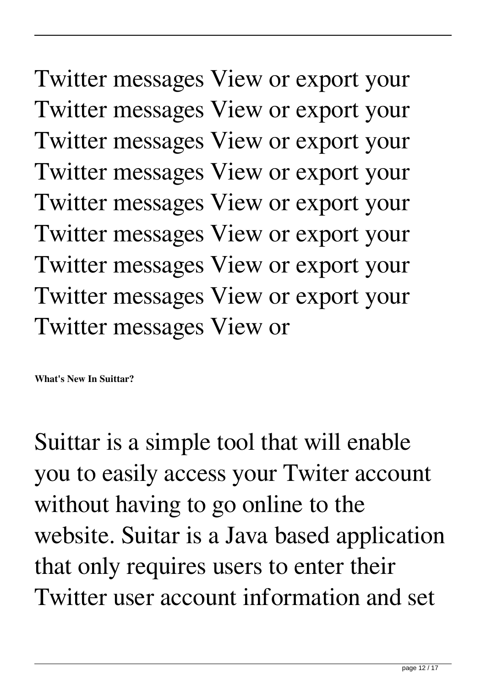Twitter messages View or export your Twitter messages View or export your Twitter messages View or export your Twitter messages View or export your Twitter messages View or export your Twitter messages View or export your Twitter messages View or export your Twitter messages View or export your Twitter messages View or

**What's New In Suittar?**

Suittar is a simple tool that will enable you to easily access your Twiter account without having to go online to the website. Suitar is a Java based application that only requires users to enter their Twitter user account information and set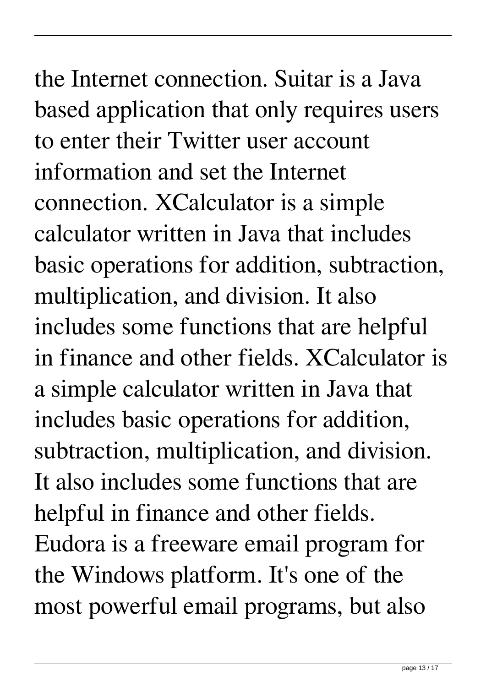the Internet connection. Suitar is a Java based application that only requires users to enter their Twitter user account information and set the Internet connection. XCalculator is a simple calculator written in Java that includes basic operations for addition, subtraction, multiplication, and division. It also includes some functions that are helpful in finance and other fields. XCalculator is a simple calculator written in Java that includes basic operations for addition, subtraction, multiplication, and division. It also includes some functions that are helpful in finance and other fields. Eudora is a freeware email program for the Windows platform. It's one of the most powerful email programs, but also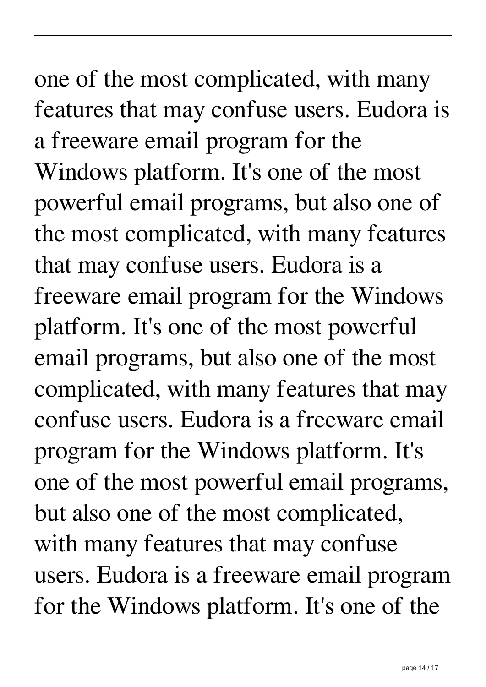## one of the most complicated, with many features that may confuse users. Eudora is a freeware email program for the Windows platform. It's one of the most

powerful email programs, but also one of the most complicated, with many features that may confuse users. Eudora is a freeware email program for the Windows platform. It's one of the most powerful email programs, but also one of the most complicated, with many features that may confuse users. Eudora is a freeware email program for the Windows platform. It's one of the most powerful email programs, but also one of the most complicated, with many features that may confuse users. Eudora is a freeware email program for the Windows platform. It's one of the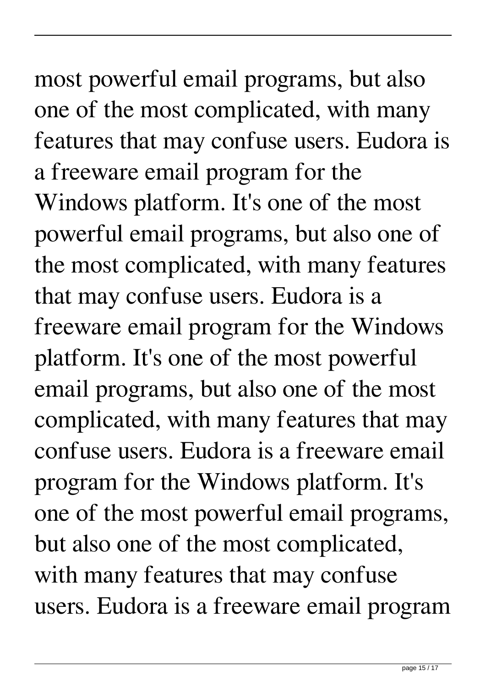# most powerful email programs, but also one of the most complicated, with many

features that may confuse users. Eudora is a freeware email program for the Windows platform. It's one of the most powerful email programs, but also one of the most complicated, with many features that may confuse users. Eudora is a freeware email program for the Windows platform. It's one of the most powerful email programs, but also one of the most complicated, with many features that may confuse users. Eudora is a freeware email program for the Windows platform. It's one of the most powerful email programs, but also one of the most complicated, with many features that may confuse users. Eudora is a freeware email program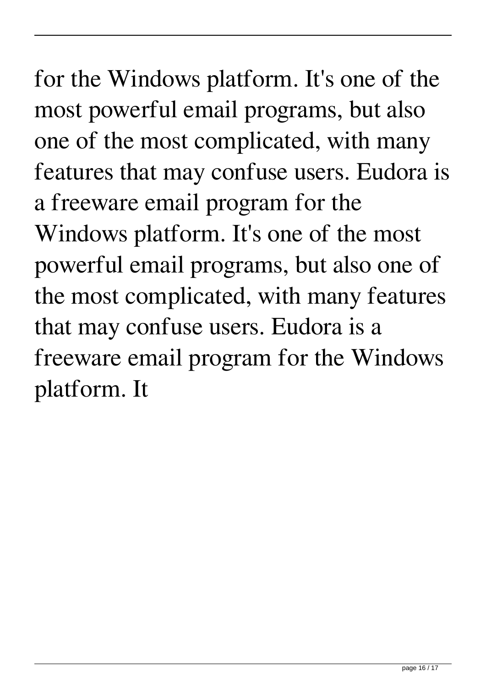#### for the Windows platform. It's one of the most powerful email programs, but also one of the most complicated, with many features that may confuse users. Eudora is a freeware email program for the Windows platform. It's one of the most powerful email programs, but also one of the most complicated, with many features that may confuse users. Eudora is a freeware email program for the Windows platform. It